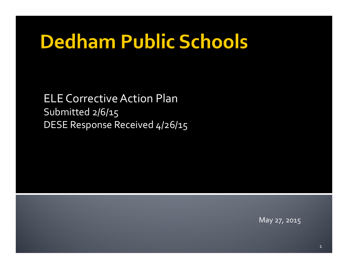# **Dedham Public Schools**

ELE CorrectiveAction Plan Submitted 2/6/15 DESE Response Received 4/26/15

May 27, 2015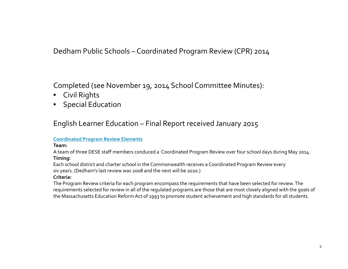Dedham Public Schools – Coordinated Program Review (CPR) 2014

Completed (see November 19, 2014 School Committee Minutes):

- •Civil Rights
- Special Education

English Learner Education – Final Report received January 2015

#### **Coordinated Program Review Elements**

**Team:**

A team of three DESE staff members conduced <sup>a</sup> Coordinated Program Review over four school days during May 2014. **Timing:**

Each school district and charter school in the Commonwealth receives <sup>a</sup> Coordinated Program Review every six years. (Dedham's last review was 2008 and the next will be 2020.)

#### **Criteria:**

The Program Review criteria for each program encompass the requirements that have been selected for review. The requirements selected for review in all of the regulated programs are those that are most closely aligned with the goals of the Massachusetts Education Reform Act of 1993 to promote student achievement and high standards for all students.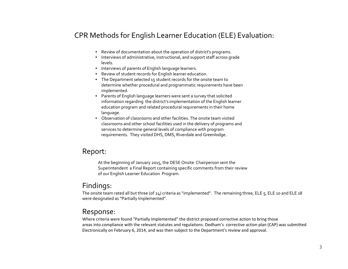## CPR Methods for English Learner Education (ELE) Evaluation:

- Review of documentation about the operation of district's programs.
- Interviews of administrative, instructional, and suppor<sup>t</sup> staff across grade levels.
- Interviews of parents of English language learners.
- •Review of student records for English learner education.
- The Department selected 15 student records for the onsite team to determine whether procedural and programmatic requirements have been implemented.
- Parents of English language learners were sent <sup>a</sup> survey that solicited information regarding the district's implementation of the English learner education program and related procedural requirements in their home language.
- $\bullet$  Observation of classrooms and other facilities. The onsite team visited classrooms and other school facilities used in the delivery of programs and services to determine general levels of compliance with program requirements. They visited DHS, DMS, Riverdale and Greenlodge.

#### Report:

At the beginning of January 2015, the DESE Onsite Chairperson sent the Superintendent <sup>a</sup> Final Report containing specific comments from their review of our English Learner Education Program.

## Findings:

The onsite team rated all but three (of 24) criteria as "implemented". The remaining three, ELE 5, ELE 10 and ELE 18 were designated as "Partially Implemented".

#### Response:

Where criteria were found "Partially Implemented" the district proposed corrective action to bring those areas into compliance with the relevant statutes and regulations. Dedham's corrective action plan (CAP) was submitted Electronically on February 6, 2014, and was then subject to the Department's review and approval.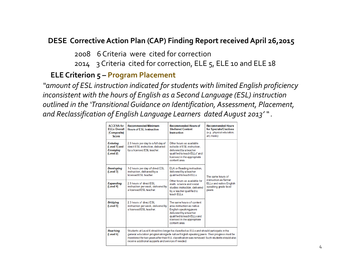# **DESE Corrective Action Plan (CAP) Finding Report receivedApril 26,2015**

2008 6 Criteria were cited for correction

2014 3 Criteria cited for correction, ELE 5, ELE <sup>10</sup> and ELE 18

## **ELE Criterion 5 – Program Placement**

"amount of ESL instruction indicated for students with limited English proficiency *inconsistent with the hours of English as <sup>a</sup> Second Language (ESL) instruction outlined in the 'Transitional Guidance on Identification, Assessment, Placement, and Reclassification of English Lang g ua <sup>e</sup> Learners dated August 2013' " .*

| <b>ACCESS</b> for<br><b>ELLs Overall</b><br>(Composite)<br>Score | <b>Recommended Minimum</b><br><b>Hours of ESL Instruction</b>                                                                                                                                                                                                                                                                                 | <b>Recommended Hours of</b><br><b>Sheltered Content</b><br>Instruction                                                                                                                     | <b>Recommended Hours</b><br>for Specials/Electives<br>(e.g., physical education,<br>art, music)                |
|------------------------------------------------------------------|-----------------------------------------------------------------------------------------------------------------------------------------------------------------------------------------------------------------------------------------------------------------------------------------------------------------------------------------------|--------------------------------------------------------------------------------------------------------------------------------------------------------------------------------------------|----------------------------------------------------------------------------------------------------------------|
| <b>Entering</b><br>(Level 1) and<br><b>Emerging</b><br>(Level 2) | 2.5 hours per day to a full day of<br>direct ESL instruction, delivered<br>by a licensed ESL teacher.                                                                                                                                                                                                                                         | Other hours as available<br>outside of ESL instruction.<br>delivered by a teacher<br>qualified to teach ELLs <sup>1</sup> and<br>licensed in the appropriate<br>content area.              | The same hours of<br>instruction as former<br><b>ELLs and native English</b><br>speaking grade-level<br>peers. |
| <b>Developing</b><br>(Level 3)                                   | 1-2 hours per day of direct ESL<br>instruction, delivered by a<br>licensed FSI teacher                                                                                                                                                                                                                                                        | ELA or Reading instruction.<br>delivered by a teacher<br>qualified to teach ELLs.                                                                                                          |                                                                                                                |
| <b>Expanding</b><br>(Level 4)                                    | 2.5 hours of direct ESL<br>instruction per week, delivered by<br>a licensed ESL teacher.                                                                                                                                                                                                                                                      | Other hours as available for<br>math, science and social<br>studies instruction, delivered<br>by a teacher qualified to<br>teach FII s                                                     |                                                                                                                |
| <b>Bridging</b><br>(Level 5)                                     | 2.5 hours of direct ESL<br>instruction per week, delivered by<br>a licensed ESL teacher.                                                                                                                                                                                                                                                      | The same hours of content<br>area instruction as native<br>English speaking peers<br>delivered by a teacher<br>qualified to teach ELLs and<br>licensed in the appropriate<br>content area. |                                                                                                                |
| <b>Reaching</b><br>(Level 6)                                     | Students at Level 6 should no longer be classified as ELLs and should participate in the<br>general education program alongside native English speaking peers. Their progress must be<br>monitored for two years after their ELL classification was removed. Such students should also<br>receive additional supports and services if needed. |                                                                                                                                                                                            |                                                                                                                |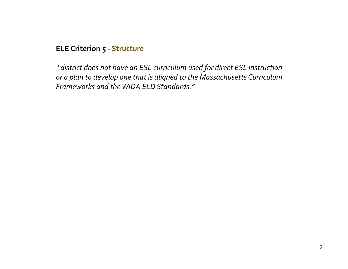## **ELE Criterion 5 ‐ Structure**

*"district does not have an ESL curriculum used for direct ESL instruction or a plan to develop one that is aligned to the Massachusetts Curriculum Frameworks and theWIDA ELD Stand d ar s."*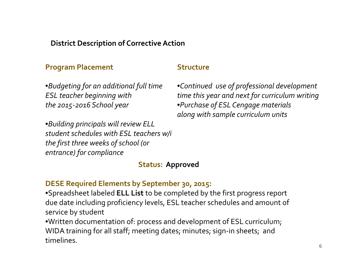## **District Description of CorrectiveAction**

### **Program Placement**

*ESL teacher beginning with the 2015‐2016 School year*

•*Building principals will review ELL student schedules with ESL teachers w/i the first three weeks of school (or entrance) for compliance*

#### **Structure**

 $\bullet$ Budgeting for an additional full time  $\qquad \bullet$ Continued use of professional devel •*Continueduse ofprofessionaldevelopment time this year and next for curriculum writing* •*Purchase of ESL Cengage materials along with sample curriculum units gp*

#### **Status: Approved**

#### **DESE Required Elements by September 30, 2015:**

•Spreadsheet labeled **ELL List** to be completed by the first progress repor<sup>t</sup> due date including proficiency levels, ESL teacher schedules and amount of service by student

 $\bullet$ Written documentation of: process and development of ESL curriculum; WIDA training for all staff; meeting dates; minutes; sign‐in sheets; and timelines.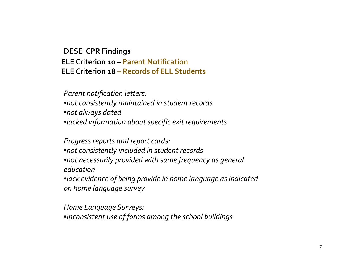# **DESE CPR Fi di <sup>n</sup> ngs ELE Criterion <sup>10</sup> – Parent Notification ELE Criterion 18 – Records of ELL Students**

*Parent notification letters:* •*not consistently maintained in student records* •*not always dated* •*lacked information about specific exit requirements*

*Progress reports and repor<sup>t</sup> cards:* •*not consistently included in student records* •*not necessarily provided with same frequency as general education*•*lack evidence of being provide in home language as indicated on home language survey*

*Home Language Surveys:* •*Inconsistent use of forms among the school buildings*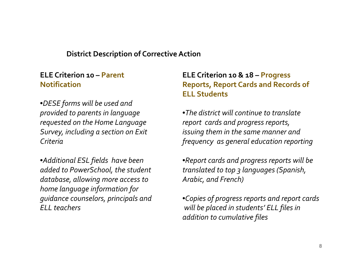## **District Description of CorrectiveAction**

## **ELE Criterion <sup>10</sup> – Parent Notification**

•*DESE forms will be used and provided to parents in language requested on the Home Language Survey, including <sup>a</sup> section on Exit Criteria*

•*Additional ESL fields have been added to PowerSchool, the student database, allowing more access to home language information for guidance counselors, principals and ELL teachers*

# **ELE Criterion <sup>10</sup> & 18 – Progress Reports Report Cards and Records of Reports, ELL Students**

•*The district will continue to translate repor<sup>t</sup> cards and progress reports, issuing them in the same manner and frequency as general education reporting*

•*Report cards and progress reports will be translated to top 3 languages (Spanish, Arabic, and French)*

•*Copies of progress reports and repor<sup>t</sup> cards will be placed in students' ELL files in addition to cumulative files*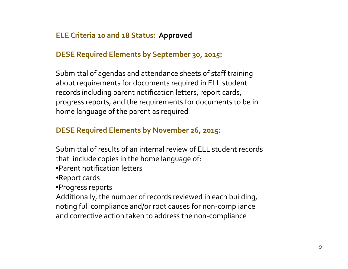# **ELE Criteria <sup>10</sup> and 18 Status: Approved**

## **DESE Required Elements by September 30, 2015:**

Submittal of agendas and attendance sheets of staff training about requirements for documents required in ELL student records including paren<sup>t</sup> notification letters, repor<sup>t</sup> cards, progress reports, and the requirements for documents to be in home language of the paren<sup>t</sup> as required

## **DESE Required Elements by November 26, 2015:**

Submittal of results of an internal review of ELL student records that include copies in the home language of:

- •Parent notification letters
- •Report cards

•Progress reports

Additionally, the number of records reviewed in each building, noting full compliance and/or root causes for non‐compliance and corrective action taken to address the non‐compliance